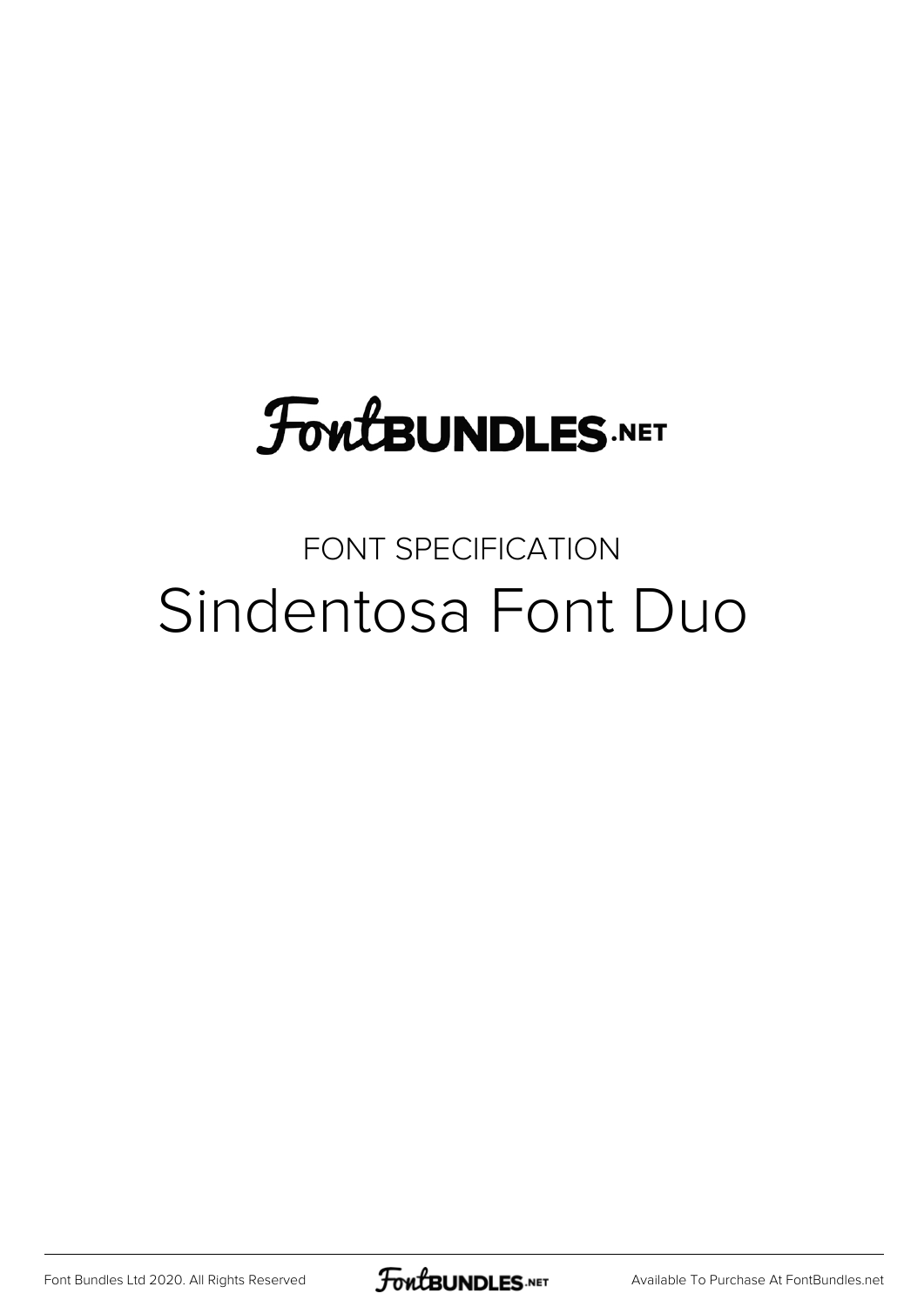# **FoutBUNDLES.NET**

### FONT SPECIFICATION Sindentosa Font Duo

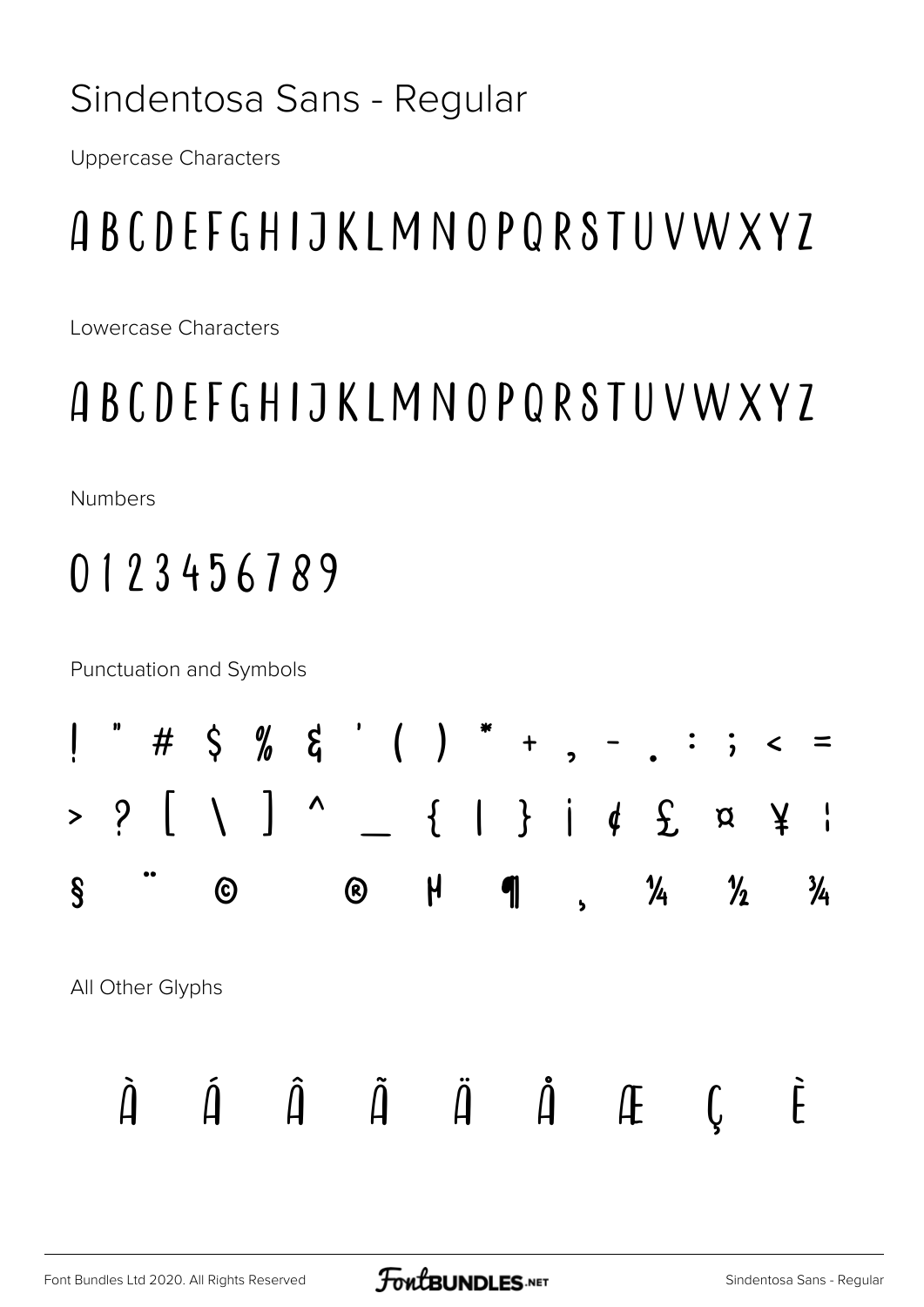#### Sindentosa Sans - Regular

**Uppercase Characters** 

# **ABCDEFGHIJKLMNOPORSTUVWXYZ**

Lowercase Characters

**ABCDEFGHIJKLMNOPQRSTUVWXYZ** 

**Numbers** 

## 0123456789

**Punctuation and Symbols** 

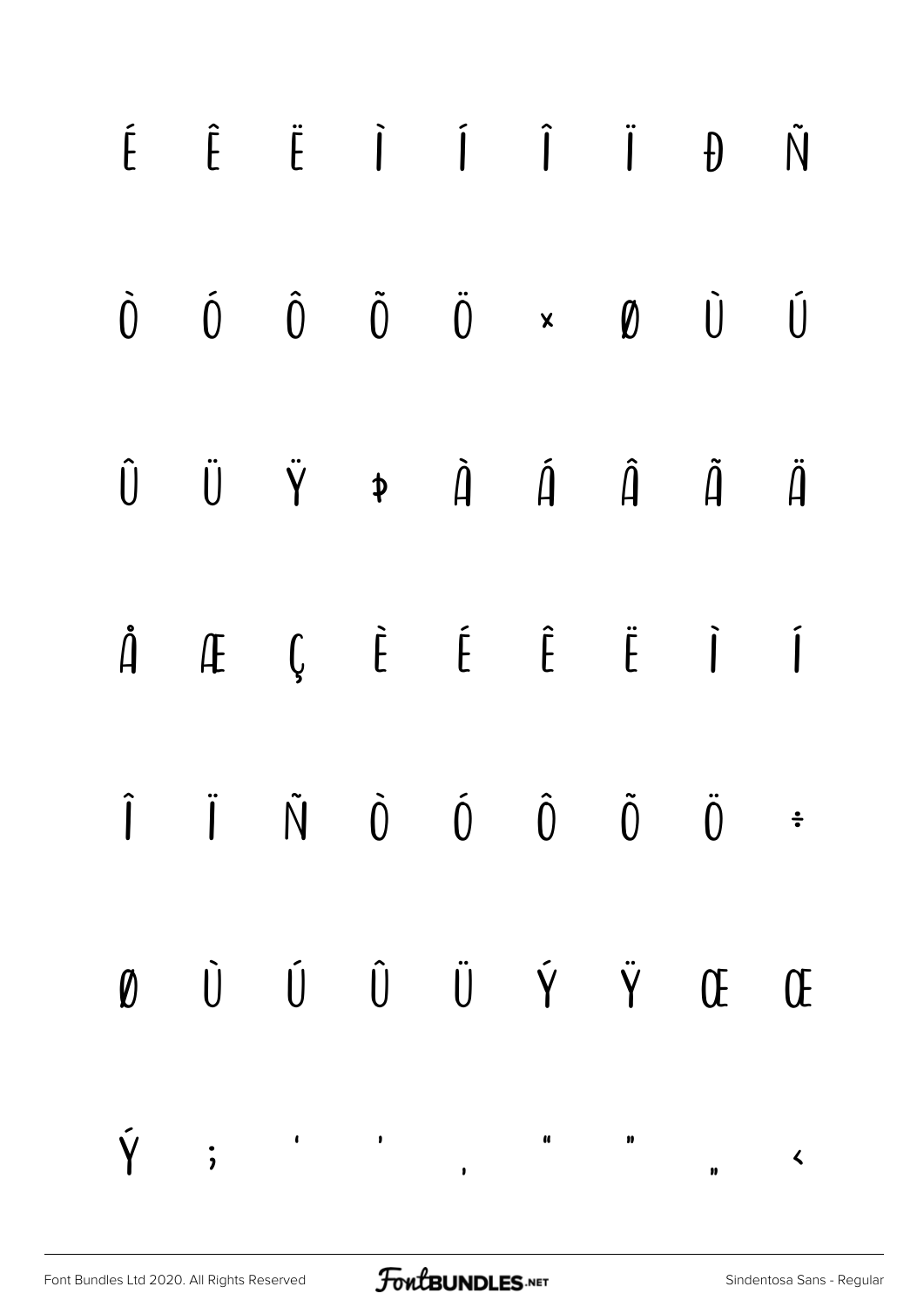|  |  |  | $\begin{matrix} \hat{E} & \hat{E} & \hat{E} & \hat{I} & \hat{I} & \hat{I} & \hat{I} & \hat{I} & \hat{N} \end{matrix}$                                                                                                                                                                                                                                                                                                                                                                                                                                |  |
|--|--|--|------------------------------------------------------------------------------------------------------------------------------------------------------------------------------------------------------------------------------------------------------------------------------------------------------------------------------------------------------------------------------------------------------------------------------------------------------------------------------------------------------------------------------------------------------|--|
|  |  |  | $\begin{matrix} \mathbf{0} & \mathbf{0} & \mathbf{0} & \mathbf{0} & \mathbf{0} & \mathbf{0} & \mathbf{0} & \mathbf{0} & \mathbf{0} & \mathbf{0} & \mathbf{0} & \mathbf{0} & \mathbf{0} & \mathbf{0} & \mathbf{0} & \mathbf{0} & \mathbf{0} & \mathbf{0} & \mathbf{0} & \mathbf{0} & \mathbf{0} & \mathbf{0} & \mathbf{0} & \mathbf{0} & \mathbf{0} & \mathbf{0} & \mathbf{0} & \mathbf{0} & \mathbf{0} & \mathbf{0} & \mathbf{0$                                                                                                                     |  |
|  |  |  | $\begin{matrix} \hat{\textbf{U}} & \begin{matrix} \hat{\textbf{U}} & \hat{\textbf{V}} \end{matrix} & \hat{\textbf{Y}} & \hat{\textbf{P}} & \hat{\textbf{Q}} & \hat{\textbf{Q}} & \hat{\textbf{Q}} & \hat{\textbf{Q}} & \hat{\textbf{Q}} & \hat{\textbf{Q}} & \hat{\textbf{Q}} \end{matrix} \end{matrix}$                                                                                                                                                                                                                                             |  |
|  |  |  | $\mathring{A}$ $\mathring{A}$ $\mathring{C}$ $\mathring{C}$ $\mathring{C}$ $\mathring{C}$ $\mathring{C}$ $\mathring{C}$ $\mathring{C}$ $\mathring{C}$ $\mathring{C}$ $\mathring{C}$ $\mathring{C}$ $\mathring{C}$ $\mathring{C}$ $\mathring{C}$ $\mathring{C}$ $\mathring{C}$ $\mathring{C}$ $\mathring{C}$ $\mathring{C}$ $\mathring{C}$ $\mathring{C}$ $\mathring{C}$ $\mathring{$                                                                                                                                                                 |  |
|  |  |  | $\hat{\textbf{I}} \quad \ddot{\textbf{I}} \quad \tilde{\textbf{N}} \quad \hat{\textbf{0}} \quad \hat{\textbf{0}} \quad \hat{\textbf{0}} \quad \tilde{\textbf{0}} \quad \ddot{\textbf{0}} \quad \vdots$                                                                                                                                                                                                                                                                                                                                               |  |
|  |  |  | $\begin{array}{ccccccccccccccccc} \text{\large $\emptyset$} & \text{\large $\text{\large $\text{\rm{i}}$} & \text{\large $\text{\rm{0}}$} & \text{\large $\text{\large $\text{\rm{0}}$} & \text{\large $\text{\rm{0}}$} & \text{\large $\text{\rm{0}}$} & \text{\large $\text{\rm{0}}$} & \text{\large $\text{\rm{0}}$} & \text{\large $\text{\rm{0}}$} & \text{\large $\text{\rm{0}}$} & \text{\large $\text{\rm{0}}$} & \text{\large $\text{\rm{0}}$} & \text{\large $\text{\rm{0}}$} & \text{\large $\text{\rm{0}}$} & \text{\large $\text{\rm{0$ |  |
|  |  |  | $\begin{array}{cccccccccccccc} \hat{\mathsf{Y}} & \mathsf{I} & \mathsf{I} & \mathsf{I} & \mathsf{I} & \mathsf{I} & \mathsf{I} & \mathsf{I} & \mathsf{I} & \mathsf{I} & \mathsf{I} & \mathsf{I} & \mathsf{I} & \mathsf{I} & \mathsf{I} & \mathsf{I} & \mathsf{I} & \mathsf{I} & \mathsf{I} & \mathsf{I} & \mathsf{I} & \mathsf{I} & \mathsf{I} & \mathsf{I} & \mathsf{I} & \mathsf{I} & \mathsf{I} & \mathsf{I} & \mathsf{I} & \mathsf{I$                                                                                                             |  |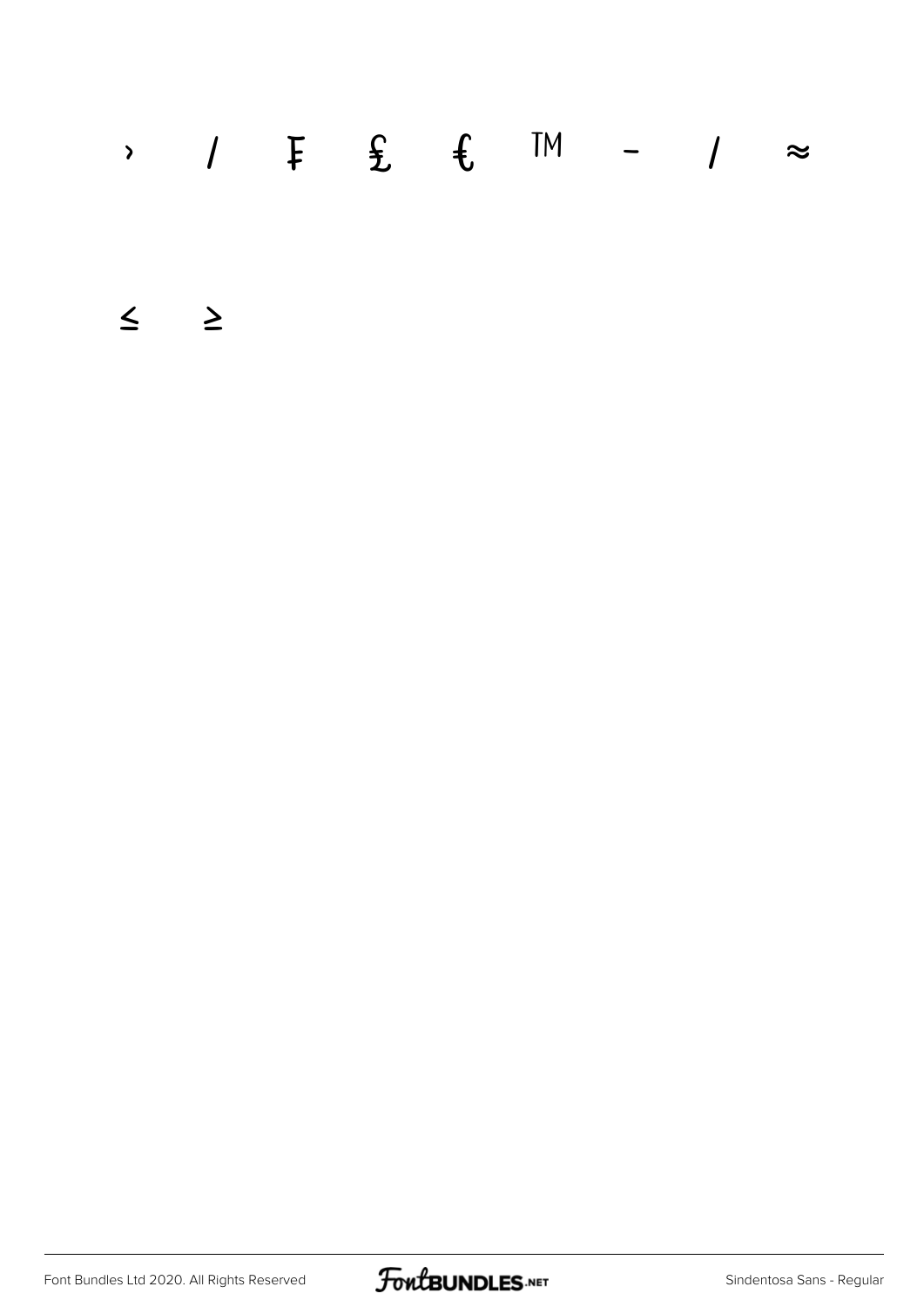### $\rightarrow$  / F  $f$  f  $M$  - /  $\approx$

 $\leq$   $\geq$ 

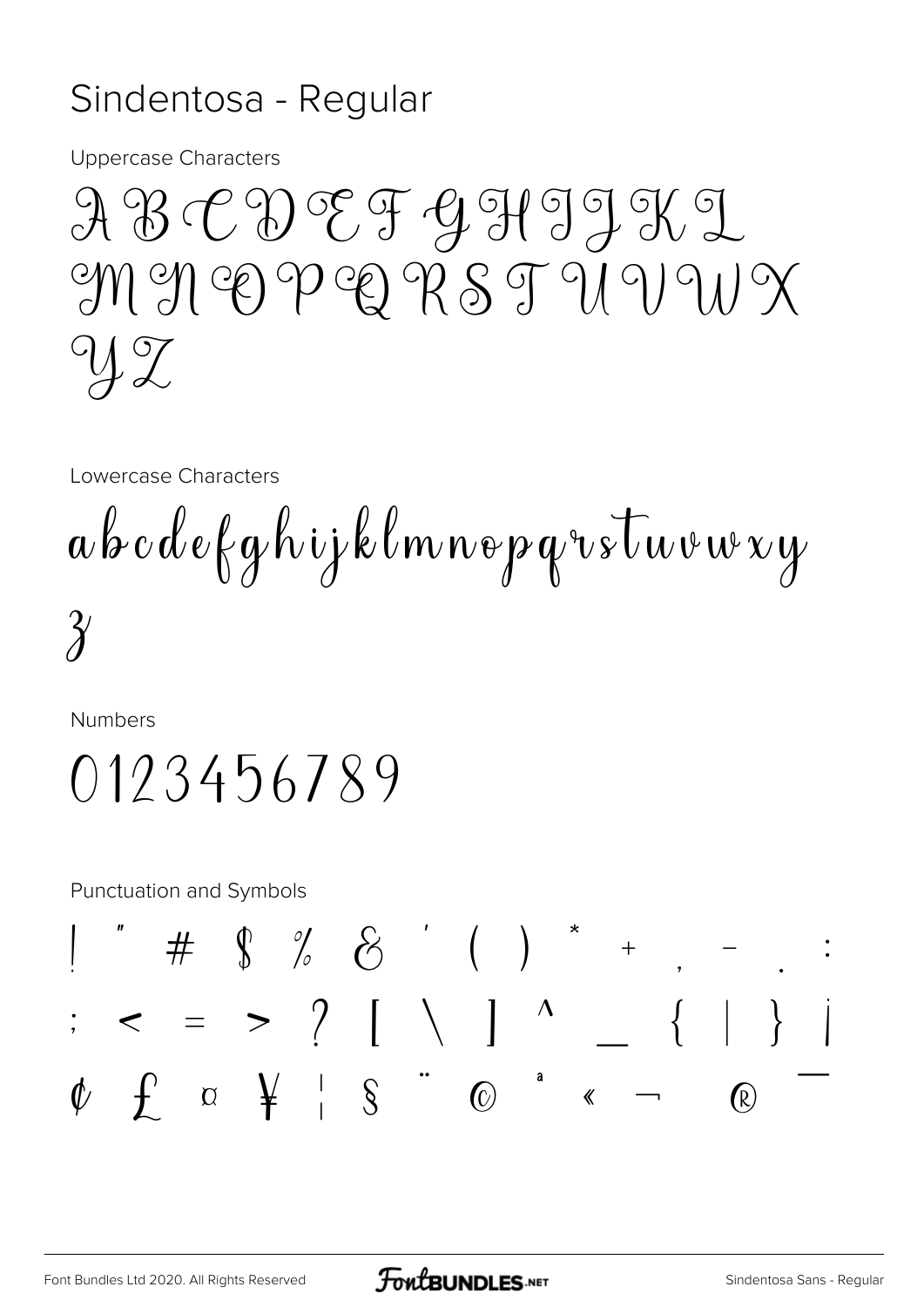#### Sindentosa - Regular

**Uppercase Characters** 

 ${\mathcal{A}}\hspace{0.1em}{\mathcal{B}}\hspace{0.1em}{\mathcal{C}}\hspace{0.1em}{\mathcal{D}}\hspace{0.1em}{\mathcal{E}}\hspace{0.1em}{\mathcal{F}}\hspace{0.1em}{\mathcal{A}}\hspace{0.1em}{\mathcal{A}}\hspace{0.1em}{\mathcal{I}}\hspace{0.1em}{\mathcal{S}}\hspace{0.1em}{\mathcal{K}}\hspace{0.1em}{\mathcal{I}}$  $\mathcal{M}$   $\mathcal{M}$   $\mathcal{P}$   $\mathcal{P}$   $\mathcal{P}$   $\mathcal{R}$   $\mathcal{S}$   $\mathcal{T}$   $\mathcal{M}$   $\mathcal{V}$   $\mathcal{N}$ YZ

Lowercase Characters

 $a$  b c d e f g h i j k l m n o p g r s t u v w x y

 $\chi$ 

**Numbers** 

 $0123456789$ 

**Punctuation and Symbols** 

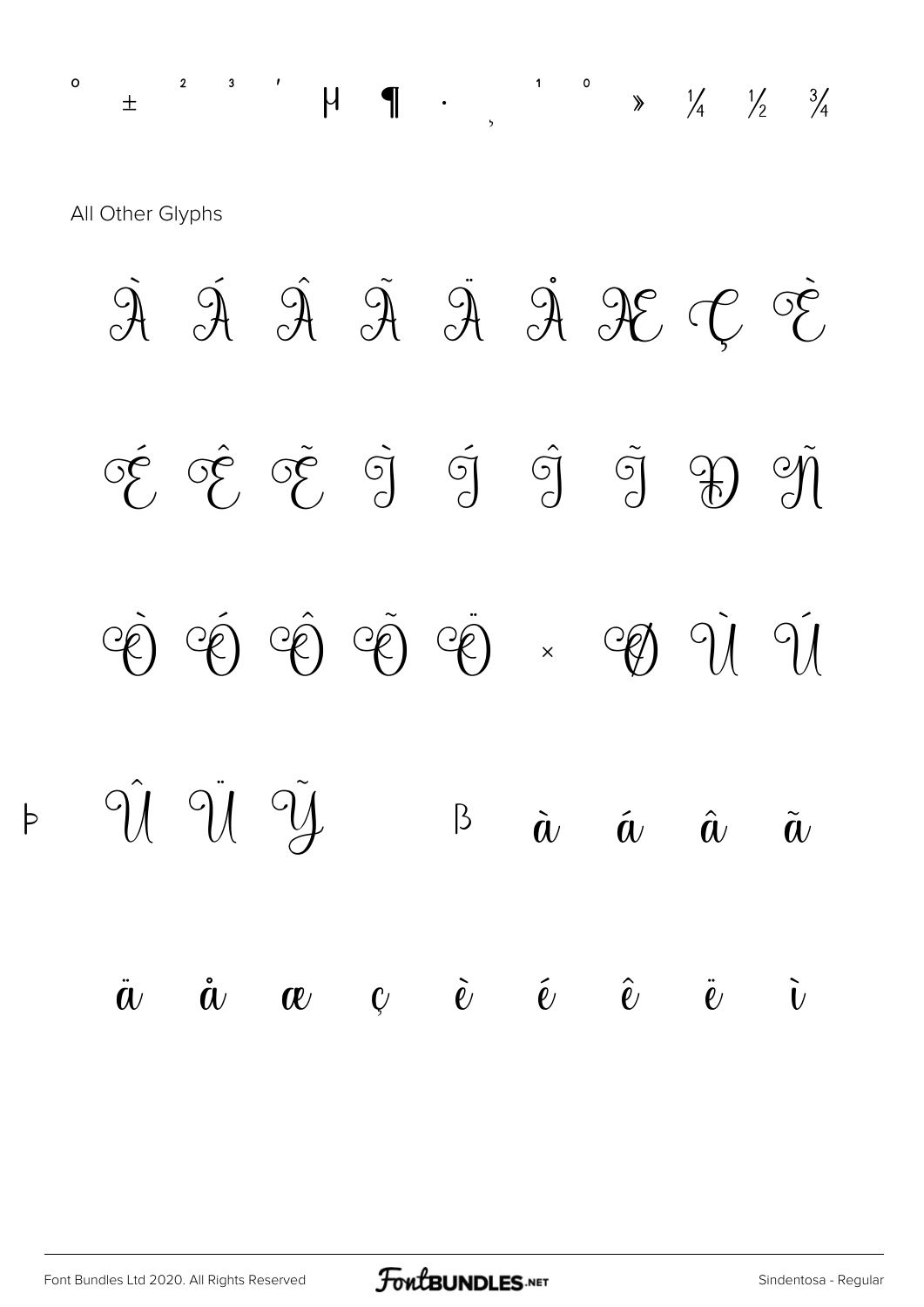2 3 /  $\mu$  1 0  $\gamma$   $\frac{1}{4}$   $\frac{1}{2}$   $\frac{3}{4}$  $\pm$  $\circ$ All Other Glyphs

 $\hat{A} \quad \hat{A} \quad \hat{A} \quad \hat{A} \quad \hat{A} \quad \hat{A} \quad \hat{A} \quad \hat{A} \quad \hat{C} \quad \hat{C}$  $\circ \hat{\xi}$ ,  $\circ \hat{\xi}$ ,  $\circ \hat{\xi}$ ,  $\circ \hat{g}$ ,  $\circ \hat{g}$ ,  $\circ \hat{g}$ ,  $\circ \hat{g}$  $\mathcal{D}$  $\mathcal{Y}$ Û Û Y  $\beta$  $\ddot{\mathbf{a}}$  $\hat{a}$   $\hat{a}$  $\tilde{\boldsymbol{a}}$  $\mathbf{c}$   $\tilde{\mathbf{e}}$   $\tilde{\mathbf{e}}$   $\tilde{\mathbf{e}}$   $\tilde{\mathbf{e}}$   $\tilde{\mathbf{e}}$  $\ddot{\boldsymbol{a}}$  $\mathring{\bm{\alpha}}$   $\bm{\alpha}$  $\ddot{U}$ 

 $\overline{P}$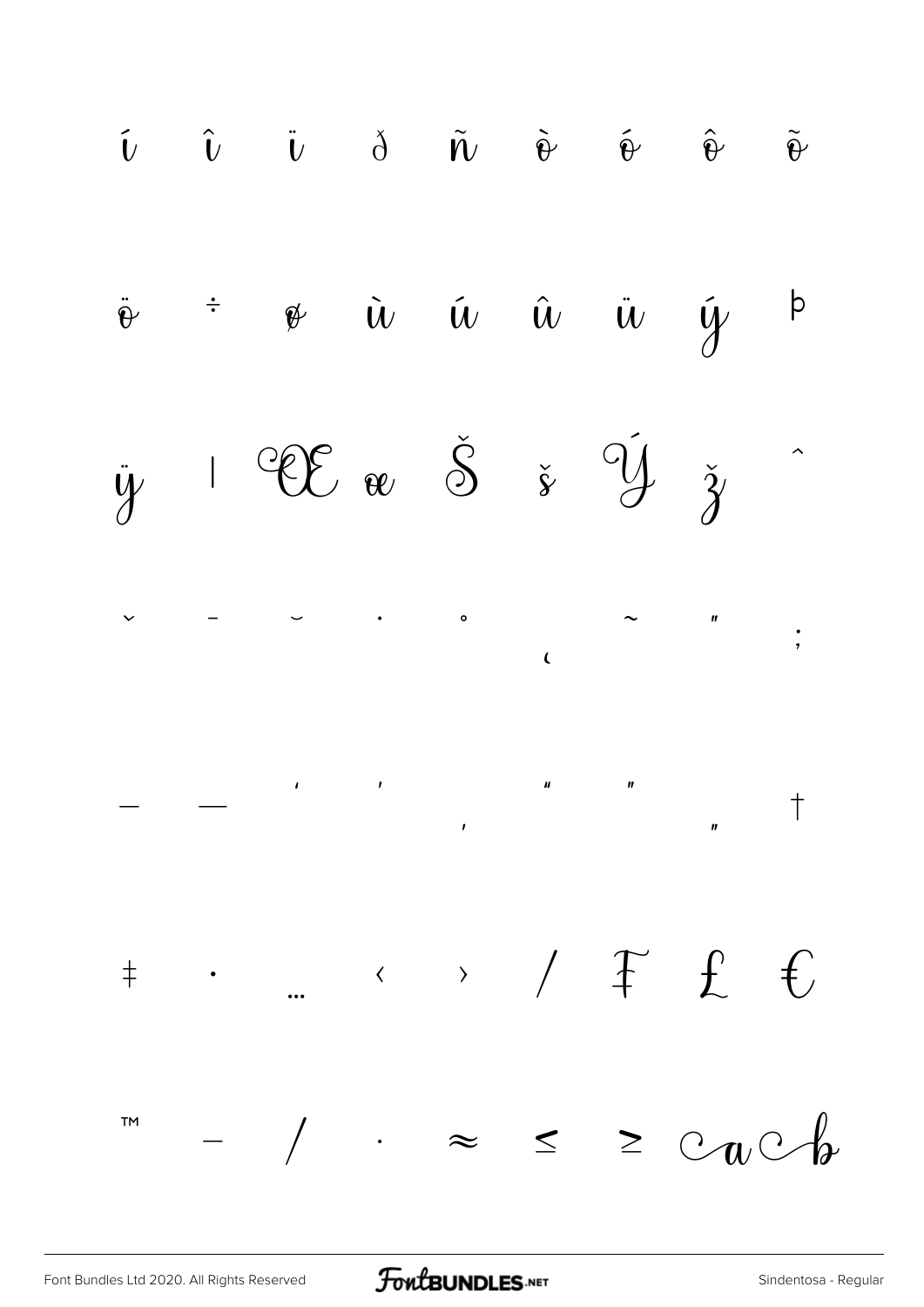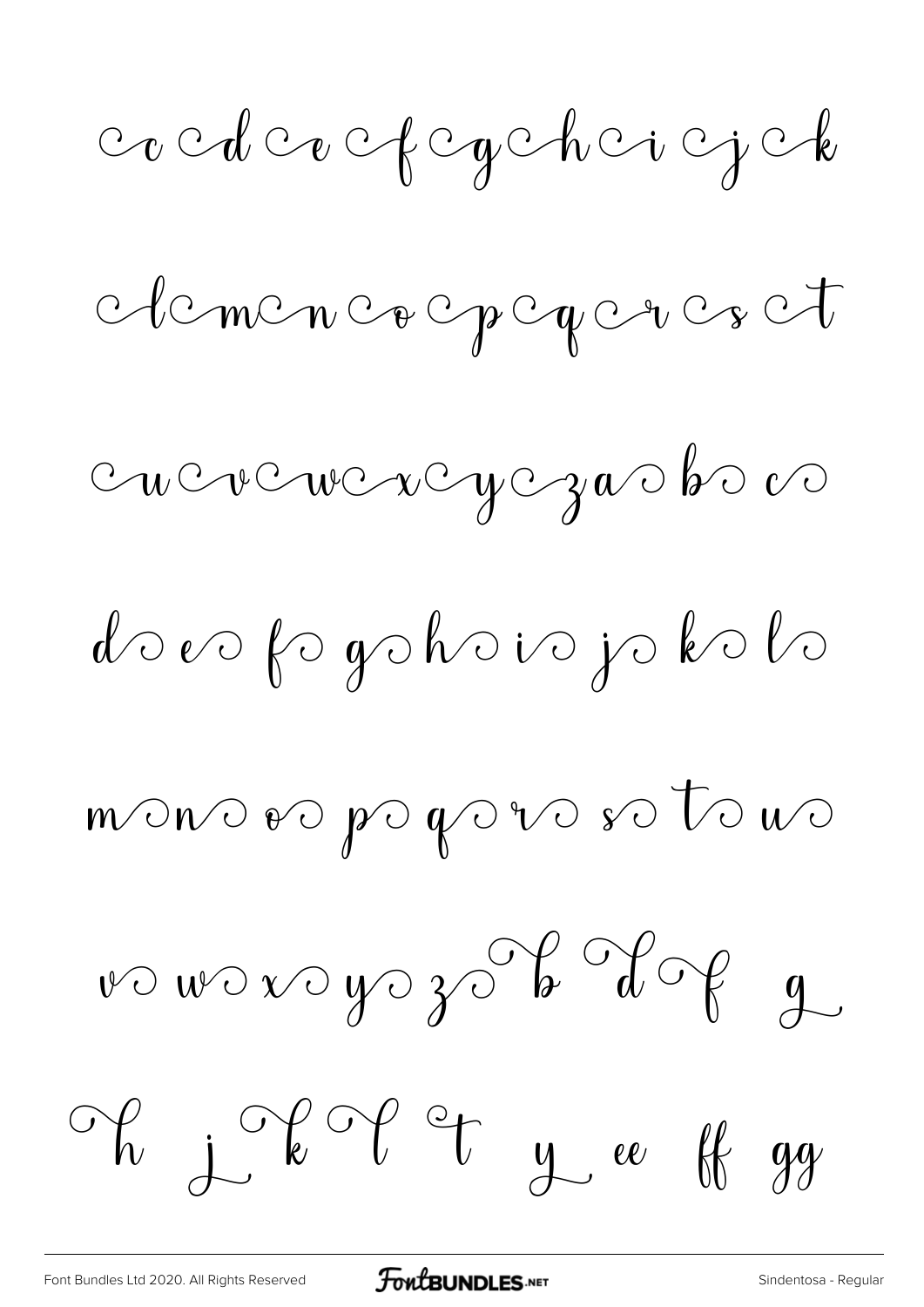cocder fegeheigek

 $C$ le menco e pequeves et

cueveur reyezu de vo

does fogohois jo kolo

monoro po po vo so to vo

vouovoyozob dof g

oh j ver et y a sk gg